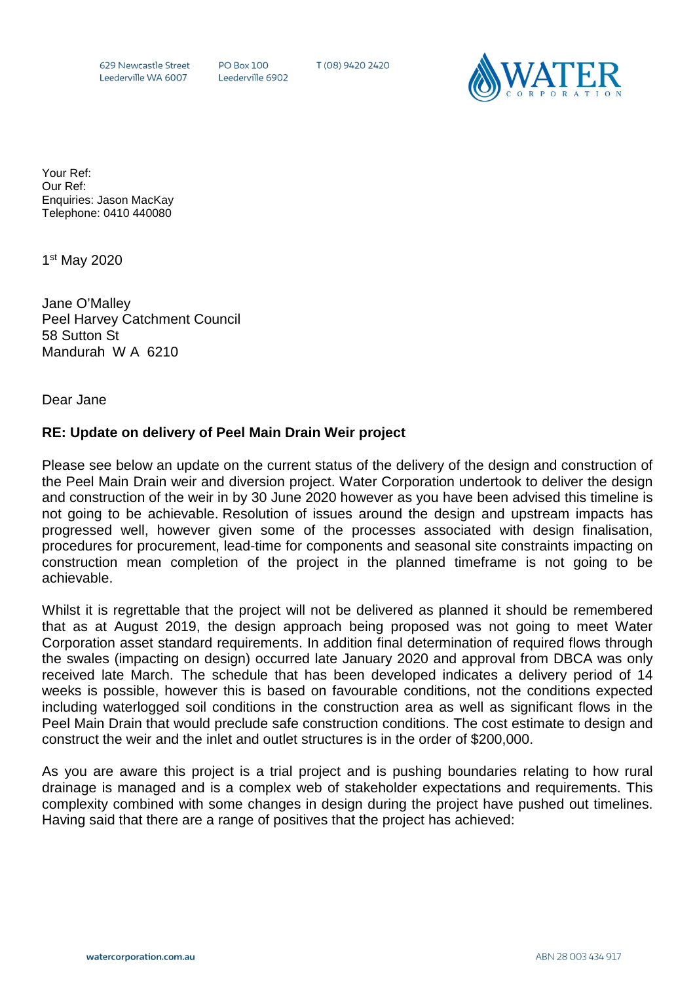629 Newcastle Street Leederville WA 6007

**PO Box 100** Leederville 6902 T (08) 9420 2420



Your Ref: Our Ref: Enquiries: Jason MacKay Telephone: 0410 440080

1<sup>st</sup> May 2020

Jane O'Malley Peel Harvey Catchment Council 58 Sutton St Mandurah W A 6210

Dear Jane

## **RE: Update on delivery of Peel Main Drain Weir project**

Please see below an update on the current status of the delivery of the design and construction of the Peel Main Drain weir and diversion project. Water Corporation undertook to deliver the design and construction of the weir in by 30 June 2020 however as you have been advised this timeline is not going to be achievable. Resolution of issues around the design and upstream impacts has progressed well, however given some of the processes associated with design finalisation, procedures for procurement, lead-time for components and seasonal site constraints impacting on construction mean completion of the project in the planned timeframe is not going to be achievable.

Whilst it is regrettable that the project will not be delivered as planned it should be remembered that as at August 2019, the design approach being proposed was not going to meet Water Corporation asset standard requirements. In addition final determination of required flows through the swales (impacting on design) occurred late January 2020 and approval from DBCA was only received late March. The schedule that has been developed indicates a delivery period of 14 weeks is possible, however this is based on favourable conditions, not the conditions expected including waterlogged soil conditions in the construction area as well as significant flows in the Peel Main Drain that would preclude safe construction conditions. The cost estimate to design and construct the weir and the inlet and outlet structures is in the order of \$200,000.

As you are aware this project is a trial project and is pushing boundaries relating to how rural drainage is managed and is a complex web of stakeholder expectations and requirements. This complexity combined with some changes in design during the project have pushed out timelines. Having said that there are a range of positives that the project has achieved: